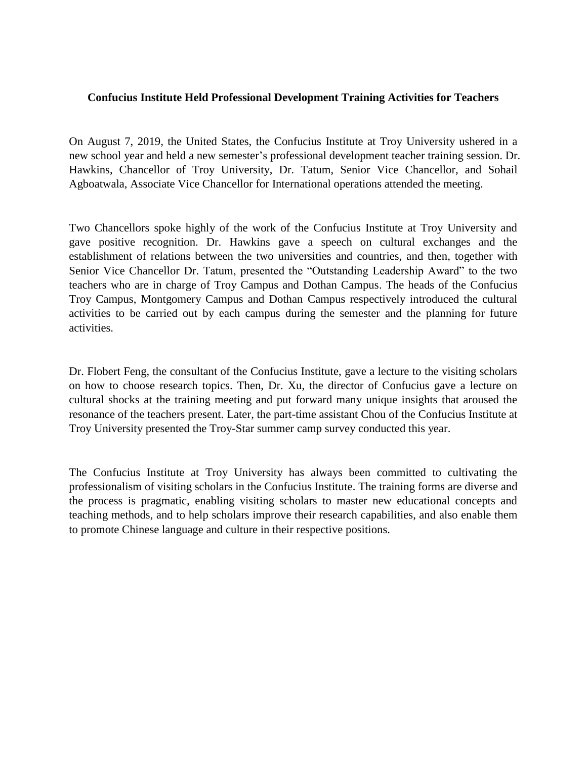## **Confucius Institute Held Professional Development Training Activities for Teachers**

On August 7, 2019, the United States, the Confucius Institute at Troy University ushered in a new school year and held a new semester's professional development teacher training session. Dr. Hawkins, Chancellor of Troy University, Dr. Tatum, Senior Vice Chancellor, and Sohail Agboatwala, Associate Vice Chancellor for International operations attended the meeting.

Two Chancellors spoke highly of the work of the Confucius Institute at Troy University and gave positive recognition. Dr. Hawkins gave a speech on cultural exchanges and the establishment of relations between the two universities and countries, and then, together with Senior Vice Chancellor Dr. Tatum, presented the "Outstanding Leadership Award" to the two teachers who are in charge of Troy Campus and Dothan Campus. The heads of the Confucius Troy Campus, Montgomery Campus and Dothan Campus respectively introduced the cultural activities to be carried out by each campus during the semester and the planning for future activities.

Dr. Flobert Feng, the consultant of the Confucius Institute, gave a lecture to the visiting scholars on how to choose research topics. Then, Dr. Xu, the director of Confucius gave a lecture on cultural shocks at the training meeting and put forward many unique insights that aroused the resonance of the teachers present. Later, the part-time assistant Chou of the Confucius Institute at Troy University presented the Troy-Star summer camp survey conducted this year.

The Confucius Institute at Troy University has always been committed to cultivating the professionalism of visiting scholars in the Confucius Institute. The training forms are diverse and the process is pragmatic, enabling visiting scholars to master new educational concepts and teaching methods, and to help scholars improve their research capabilities, and also enable them to promote Chinese language and culture in their respective positions.